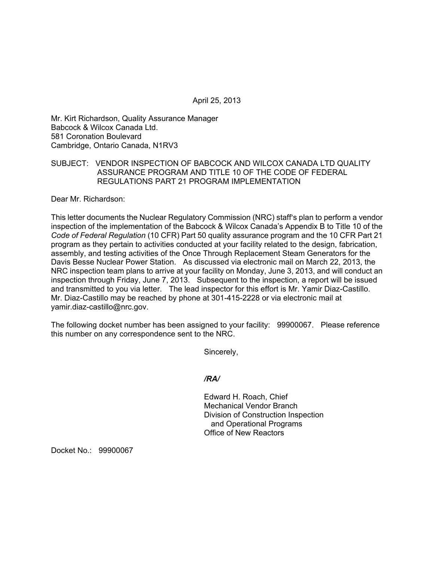April 25, 2013

Mr. Kirt Richardson, Quality Assurance Manager Babcock & Wilcox Canada Ltd. 581 Coronation Boulevard Cambridge, Ontario Canada, N1RV3

### SUBJECT: VENDOR INSPECTION OF BABCOCK AND WILCOX CANADA LTD QUALITY ASSURANCE PROGRAM AND TITLE 10 OF THE CODE OF FEDERAL REGULATIONS PART 21 PROGRAM IMPLEMENTATION

Dear Mr. Richardson:

This letter documents the Nuclear Regulatory Commission (NRC) staff's plan to perform a vendor inspection of the implementation of the Babcock & Wilcox Canada's Appendix B to Title 10 of the *Code of Federal Regulation* (10 CFR) Part 50 quality assurance program and the 10 CFR Part 21 program as they pertain to activities conducted at your facility related to the design, fabrication, assembly, and testing activities of the Once Through Replacement Steam Generators for the Davis Besse Nuclear Power Station. As discussed via electronic mail on March 22, 2013, the NRC inspection team plans to arrive at your facility on Monday, June 3, 2013, and will conduct an inspection through Friday, June 7, 2013. Subsequent to the inspection, a report will be issued and transmitted to you via letter. The lead inspector for this effort is Mr. Yamir Diaz-Castillo. Mr. Diaz-Castillo may be reached by phone at 301-415-2228 or via electronic mail at yamir.diaz-castillo@nrc.gov.

The following docket number has been assigned to your facility: 99900067. Please reference this number on any correspondence sent to the NRC.

Sincerely,

*/RA/* 

Edward H. Roach, Chief Mechanical Vendor Branch Division of Construction Inspection and Operational Programs Office of New Reactors

Docket No.: 99900067